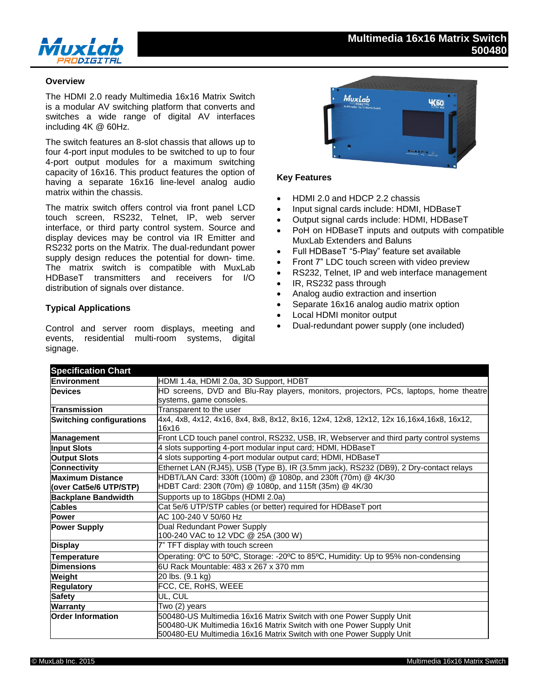

## **Overview**

The HDMI 2.0 ready Multimedia 16x16 Matrix Switch is a modular AV switching platform that converts and switches a wide range of digital AV interfaces including 4K @ 60Hz.

The switch features an 8-slot chassis that allows up to four 4-port input modules to be switched to up to four 4-port output modules for a maximum switching capacity of 16x16. This product features the option of having a separate 16x16 line-level analog audio matrix within the chassis.

The matrix switch offers control via front panel LCD touch screen, RS232, Telnet, IP, web server interface, or third party control system. Source and display devices may be control via IR Emitter and RS232 ports on the Matrix. The dual-redundant power supply design reduces the potential for down- time. The matrix switch is compatible with MuxLab HDBaseT transmitters and receivers for I/O distribution of signals over distance.

## **Typical Applications**

Control and server room displays, meeting and events, residential multi-room systems, digital signage.



## **Key Features**

- HDMI 2.0 and HDCP 2.2 chassis
- Input signal cards include: HDMI, HDBaseT
- Output signal cards include: HDMI, HDBaseT
- PoH on HDBaseT inputs and outputs with compatible MuxLab Extenders and Baluns
- Full HDBaseT "5-Play" feature set available
- Front 7" LDC touch screen with video preview
- RS232, Telnet, IP and web interface management
- IR, RS232 pass through
- Analog audio extraction and insertion
- Separate 16x16 analog audio matrix option
- Local HDMI monitor output
- Dual-redundant power supply (one included)

| <b>Specification Chart</b>                         |                                                                                          |  |  |
|----------------------------------------------------|------------------------------------------------------------------------------------------|--|--|
| Environment                                        | HDMI 1.4a, HDMI 2.0a, 3D Support, HDBT                                                   |  |  |
| <b>Devices</b>                                     | HD screens, DVD and Blu-Ray players, monitors, projectors, PCs, laptops, home theatre    |  |  |
|                                                    | systems, game consoles.                                                                  |  |  |
| Transmission                                       | Transparent to the user                                                                  |  |  |
| <b>Switching configurations</b>                    | 4x4, 4x8, 4x12, 4x16, 8x4, 8x8, 8x12, 8x16, 12x4, 12x8, 12x12, 12x 16,16x4,16x8, 16x12,  |  |  |
|                                                    | 16x16                                                                                    |  |  |
| Management                                         | Front LCD touch panel control, RS232, USB, IR, Webserver and third party control systems |  |  |
| <b>Input Slots</b>                                 | 4 slots supporting 4-port modular input card; HDMI, HDBaseT                              |  |  |
| <b>Output Slots</b>                                | 4 slots supporting 4-port modular output card; HDMI, HDBaseT                             |  |  |
| <b>Connectivity</b>                                | Ethernet LAN (RJ45), USB (Type B), IR (3.5mm jack), RS232 (DB9), 2 Dry-contact relays    |  |  |
| <b>Maximum Distance</b>                            | HDBT/LAN Card: 330ft (100m) @ 1080p, and 230ft (70m) @ 4K/30                             |  |  |
| (over Cat5e/6 UTP/STP)                             | HDBT Card: 230ft (70m) @ 1080p, and 115ft (35m) @ 4K/30                                  |  |  |
| <b>Backplane Bandwidth</b>                         | Supports up to 18Gbps (HDMI 2.0a)                                                        |  |  |
| <b>Cables</b>                                      | Cat 5e/6 UTP/STP cables (or better) required for HDBaseT port                            |  |  |
| <b>Power</b>                                       | AC 100-240 V 50/60 Hz                                                                    |  |  |
| Dual Redundant Power Supply<br><b>Power Supply</b> |                                                                                          |  |  |
|                                                    | 100-240 VAC to 12 VDC @ 25A (300 W)                                                      |  |  |
| <b>Display</b>                                     | 7" TFT display with touch screen                                                         |  |  |
| Temperature                                        | Operating: 0°C to 50°C, Storage: -20°C to 85°C, Humidity: Up to 95% non-condensing       |  |  |
| <b>Dimensions</b>                                  | 6U Rack Mountable: 483 x 267 x 370 mm                                                    |  |  |
| Weight                                             | 20 lbs. (9.1 kg)                                                                         |  |  |
| <b>Regulatory</b>                                  | FCC, CE, RoHS, WEEE                                                                      |  |  |
| <b>Safety</b>                                      | UL, CUL                                                                                  |  |  |
| <b>Warranty</b>                                    | Two (2) years                                                                            |  |  |
| <b>Order Information</b>                           | 500480-US Multimedia 16x16 Matrix Switch with one Power Supply Unit                      |  |  |
|                                                    | 500480-UK Multimedia 16x16 Matrix Switch with one Power Supply Unit                      |  |  |
|                                                    | 500480-EU Multimedia 16x16 Matrix Switch with one Power Supply Unit                      |  |  |